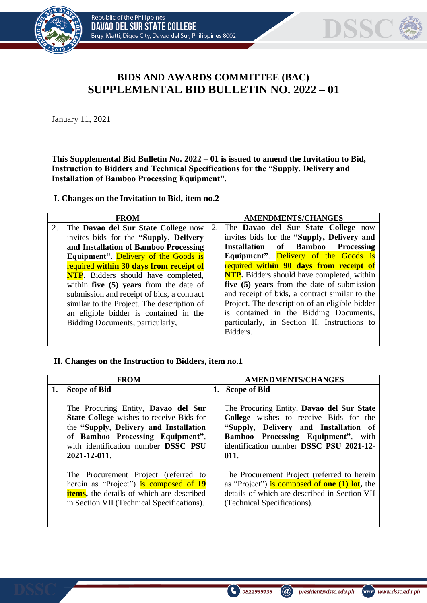



## **BIDS AND AWARDS COMMITTEE (BAC) SUPPLEMENTAL BID BULLETIN NO. 2022 – 01**

January 11, 2021

**This Supplemental Bid Bulletin No. 2022 – 01 is issued to amend the Invitation to Bid, Instruction to Bidders and Technical Specifications for the "Supply, Delivery and Installation of Bamboo Processing Equipment".**

**I. Changes on the Invitation to Bid, item no.2**

| <b>FROM</b>                                 | <b>AMENDMENTS/CHANGES</b> |                                                   |  |  |  |
|---------------------------------------------|---------------------------|---------------------------------------------------|--|--|--|
| The Davao del Sur State College now         |                           | 2. The Davao del Sur State College now            |  |  |  |
| invites bids for the "Supply, Delivery      |                           | invites bids for the "Supply, Delivery and        |  |  |  |
| and Installation of Bamboo Processing       |                           | Installation of Bamboo Processing                 |  |  |  |
| <b>Equipment".</b> Delivery of the Goods is |                           | Equipment". Delivery of the Goods is              |  |  |  |
| required within 30 days from receipt of     |                           | required within 90 days from receipt of           |  |  |  |
| <b>NTP.</b> Bidders should have completed,  |                           | <b>NTP.</b> Bidders should have completed, within |  |  |  |
| within five $(5)$ years from the date of    |                           | five (5) years from the date of submission        |  |  |  |
| submission and receipt of bids, a contract  |                           | and receipt of bids, a contract similar to the    |  |  |  |
| similar to the Project. The description of  |                           | Project. The description of an eligible bidder    |  |  |  |
| an eligible bidder is contained in the      |                           | is contained in the Bidding Documents,            |  |  |  |
| Bidding Documents, particularly,            |                           | particularly, in Section II. Instructions to      |  |  |  |
|                                             |                           | Bidders.                                          |  |  |  |
|                                             |                           |                                                   |  |  |  |

## **II. Changes on the Instruction to Bidders, item no.1**

| <b>FROM</b>                                                                                                                                                                                                                 | <b>AMENDMENTS/CHANGES</b>                                                                                                                                                                                             |
|-----------------------------------------------------------------------------------------------------------------------------------------------------------------------------------------------------------------------------|-----------------------------------------------------------------------------------------------------------------------------------------------------------------------------------------------------------------------|
| <b>Scope of Bid</b>                                                                                                                                                                                                         | 1. Scope of Bid                                                                                                                                                                                                       |
| The Procuring Entity, Davao del Sur<br><b>State College</b> wishes to receive Bids for<br>the "Supply, Delivery and Installation<br>of Bamboo Processing Equipment",<br>with identification number DSSC PSU<br>2021-12-011. | The Procuring Entity, Davao del Sur State<br>College wishes to receive Bids for the<br>"Supply, Delivery and Installation of<br>Bamboo Processing Equipment", with<br>identification number DSSC PSU 2021-12-<br>011. |
| The Procurement Project (referred to<br>herein as "Project") is composed of 19<br><b>items</b> , the details of which are described<br>in Section VII (Technical Specifications).                                           | The Procurement Project (referred to herein<br>as "Project") is composed of one $(1)$ lot, the<br>details of which are described in Section VII<br>(Technical Specifications).                                        |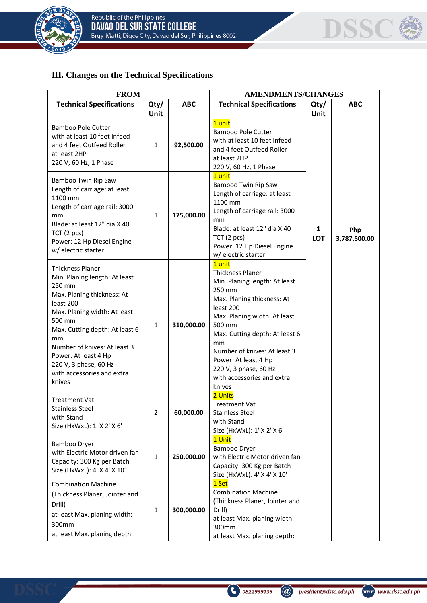



## **III. Changes on the Technical Specifications**

| <b>FROM</b>                                                                                                                                                                                                                                                                                                              |                     |            | <b>AMENDMENTS/CHANGES</b>                                                                                                                                                                                                                                                                                                          |                 |                     |
|--------------------------------------------------------------------------------------------------------------------------------------------------------------------------------------------------------------------------------------------------------------------------------------------------------------------------|---------------------|------------|------------------------------------------------------------------------------------------------------------------------------------------------------------------------------------------------------------------------------------------------------------------------------------------------------------------------------------|-----------------|---------------------|
| <b>Technical Specifications</b>                                                                                                                                                                                                                                                                                          | Qty/<br><b>Unit</b> | <b>ABC</b> | <b>Technical Specifications</b>                                                                                                                                                                                                                                                                                                    | Qty/<br>Unit    | <b>ABC</b>          |
| <b>Bamboo Pole Cutter</b><br>with at least 10 feet Infeed<br>and 4 feet Outfeed Roller<br>at least 2HP<br>220 V, 60 Hz, 1 Phase                                                                                                                                                                                          | $\mathbf{1}$        | 92,500.00  | 1 unit<br>Bamboo Pole Cutter<br>with at least 10 feet Infeed<br>and 4 feet Outfeed Roller<br>at least 2HP<br>220 V, 60 Hz, 1 Phase                                                                                                                                                                                                 |                 |                     |
| Bamboo Twin Rip Saw<br>Length of carriage: at least<br>1100 mm<br>Length of carriage rail: 3000<br>mm<br>Blade: at least 12" dia X 40<br>TCT(2 pcs)<br>Power: 12 Hp Diesel Engine<br>w/ electric starter                                                                                                                 | $\mathbf{1}$        | 175,000.00 | 1 unit<br>Bamboo Twin Rip Saw<br>Length of carriage: at least<br>1100 mm<br>Length of carriage rail: 3000<br>mm<br>Blade: at least 12" dia X 40<br>TCT(2 pcs)<br>Power: 12 Hp Diesel Engine<br>w/ electric starter                                                                                                                 | 1<br><b>LOT</b> | Php<br>3,787,500.00 |
| <b>Thickness Planer</b><br>Min. Planing length: At least<br>250 mm<br>Max. Planing thickness: At<br>least 200<br>Max. Planing width: At least<br>500 mm<br>Max. Cutting depth: At least 6<br>mm<br>Number of knives: At least 3<br>Power: At least 4 Hp<br>220 V, 3 phase, 60 Hz<br>with accessories and extra<br>knives | $\mathbf{1}$        | 310,000.00 | 1 unit<br><b>Thickness Planer</b><br>Min. Planing length: At least<br>250 mm<br>Max. Planing thickness: At<br>least 200<br>Max. Planing width: At least<br>500 mm<br>Max. Cutting depth: At least 6<br>mm<br>Number of knives: At least 3<br>Power: At least 4 Hp<br>220 V, 3 phase, 60 Hz<br>with accessories and extra<br>knives |                 |                     |
| <b>Treatment Vat</b><br><b>Stainless Steel</b><br>with Stand<br>Size (HxWxL): 1' X 2' X 6'                                                                                                                                                                                                                               | ∠                   | 60,000.00  | 2 Units<br><b>Treatment Vat</b><br><b>Stainless Steel</b><br>with Stand<br>Size (HxWxL): 1' X 2' X 6'                                                                                                                                                                                                                              |                 |                     |
| Bamboo Dryer<br>with Electric Motor driven fan<br>Capacity: 300 Kg per Batch<br>Size (HxWxL): 4' X 4' X 10'                                                                                                                                                                                                              | $\mathbf{1}$        | 250,000.00 | 1 Unit<br>Bamboo Dryer<br>with Electric Motor driven fan<br>Capacity: 300 Kg per Batch<br>Size (HxWxL): 4' X 4' X 10'                                                                                                                                                                                                              |                 |                     |
| <b>Combination Machine</b><br>(Thickness Planer, Jointer and<br>Drill)<br>at least Max. planing width:<br>300mm<br>at least Max. planing depth:                                                                                                                                                                          | $\mathbf{1}$        | 300,000.00 | 1 Set<br><b>Combination Machine</b><br>(Thickness Planer, Jointer and<br>Drill)<br>at least Max. planing width:<br>300mm<br>at least Max. planing depth:                                                                                                                                                                           |                 |                     |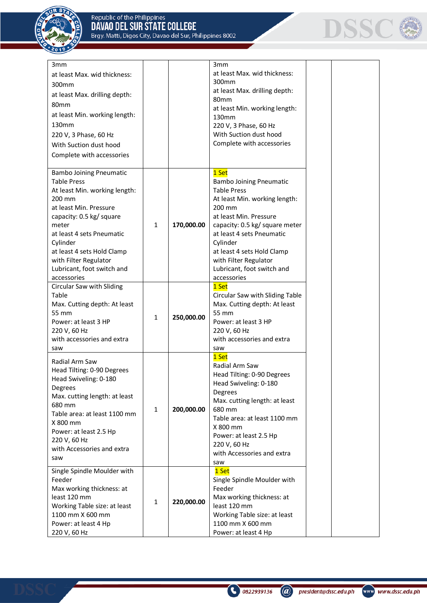



| 3mm<br>at least Max. wid thickness:<br>300mm<br>at least Max. drilling depth:<br>80mm<br>at least Min. working length:<br>130mm<br>220 V, 3 Phase, 60 Hz<br>With Suction dust hood<br>Complete with accessories                                                                                             |              |            | 3mm<br>at least Max. wid thickness:<br>300 <sub>mm</sub><br>at least Max. drilling depth:<br>80 <sub>mm</sub><br>at least Min. working length:<br>130mm<br>220 V, 3 Phase, 60 Hz<br>With Suction dust hood<br>Complete with accessories                                                                           |  |
|-------------------------------------------------------------------------------------------------------------------------------------------------------------------------------------------------------------------------------------------------------------------------------------------------------------|--------------|------------|-------------------------------------------------------------------------------------------------------------------------------------------------------------------------------------------------------------------------------------------------------------------------------------------------------------------|--|
| <b>Bambo Joining Pneumatic</b><br><b>Table Press</b><br>At least Min. working length:<br>200 mm<br>at least Min. Pressure<br>capacity: 0.5 kg/ square<br>meter<br>at least 4 sets Pneumatic<br>Cylinder<br>at least 4 sets Hold Clamp<br>with Filter Regulator<br>Lubricant, foot switch and<br>accessories | 1            | 170,000.00 | 1 Set<br><b>Bambo Joining Pneumatic</b><br><b>Table Press</b><br>At least Min. working length:<br>200 mm<br>at least Min. Pressure<br>capacity: 0.5 kg/ square meter<br>at least 4 sets Pneumatic<br>Cylinder<br>at least 4 sets Hold Clamp<br>with Filter Regulator<br>Lubricant, foot switch and<br>accessories |  |
| Circular Saw with Sliding<br>Table<br>Max. Cutting depth: At least<br>55 mm<br>Power: at least 3 HP<br>220 V, 60 Hz<br>with accessories and extra<br>saw                                                                                                                                                    | 1            | 250,000.00 | 1 Set<br>Circular Saw with Sliding Table<br>Max. Cutting depth: At least<br>55 mm<br>Power: at least 3 HP<br>220 V, 60 Hz<br>with accessories and extra<br>saw                                                                                                                                                    |  |
| Radial Arm Saw<br>Head Tilting: 0-90 Degrees<br>Head Swiveling: 0-180<br>Degrees<br>Max. cutting length: at least<br>680 mm<br>Table area: at least 1100 mm<br>X 800 mm<br>Power: at least 2.5 Hp<br>220 V, 60 Hz<br>with Accessories and extra<br>saw                                                      | $\mathbf{1}$ | 200,000.00 | 1 Set<br>Radial Arm Saw<br>Head Tilting: 0-90 Degrees<br>Head Swiveling: 0-180<br>Degrees<br>Max. cutting length: at least<br>680 mm<br>Table area: at least 1100 mm<br>X 800 mm<br>Power: at least 2.5 Hp<br>220 V, 60 Hz<br>with Accessories and extra<br>saw                                                   |  |
| Single Spindle Moulder with<br>Feeder<br>Max working thickness: at<br>least 120 mm<br>Working Table size: at least<br>1100 mm X 600 mm<br>Power: at least 4 Hp<br>220 V, 60 Hz                                                                                                                              | $\mathbf{1}$ | 220,000.00 | 1 Set<br>Single Spindle Moulder with<br>Feeder<br>Max working thickness: at<br>least 120 mm<br>Working Table size: at least<br>1100 mm X 600 mm<br>Power: at least 4 Hp                                                                                                                                           |  |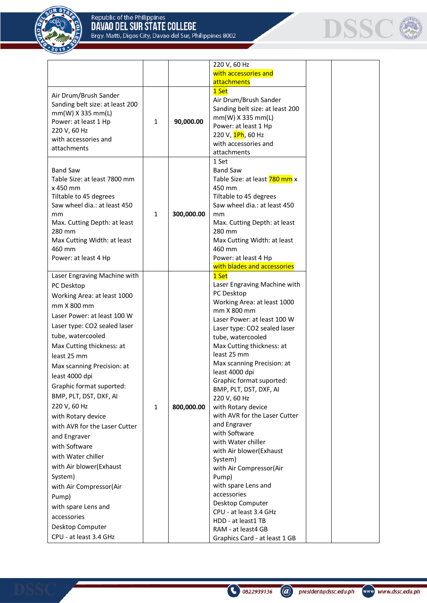



|                                       |              |            | 220 V, 60 Hz                                                              |  |
|---------------------------------------|--------------|------------|---------------------------------------------------------------------------|--|
|                                       |              |            | with accessories and                                                      |  |
|                                       |              |            | attachments                                                               |  |
| Air Drum/Brush Sander                 |              |            | 1 Set                                                                     |  |
| Sanding belt size: at least 200       |              |            | Air Drum/Brush Sander                                                     |  |
| $mm(W)$ X 335 mm(L)                   |              |            | Sanding belt size: at least 200                                           |  |
| Power: at least 1 Hp                  | $\mathbf{1}$ | 90,000.00  | $mm(W)$ X 335 mm(L)                                                       |  |
| 220 V, 60 Hz                          |              |            | Power: at least 1 Hp<br>220 V, 1Ph, 60 Hz                                 |  |
| with accessories and                  |              |            | with accessories and                                                      |  |
| attachments                           |              |            | attachments                                                               |  |
|                                       |              |            | 1 Set                                                                     |  |
| <b>Band Saw</b>                       |              |            | <b>Band Saw</b>                                                           |  |
| Table Size: at least 7800 mm          |              |            | Table Size: at least 780 mm x                                             |  |
| x 450 mm                              |              |            | 450 mm                                                                    |  |
| Tiltable to 45 degrees                |              |            | Tiltable to 45 degrees                                                    |  |
| Saw wheel dia.: at least 450          |              |            | Saw wheel dia.: at least 450                                              |  |
| mm                                    | $\mathbf{1}$ | 300,000.00 | mm                                                                        |  |
| Max. Cutting Depth: at least          |              |            | Max. Cutting Depth: at least                                              |  |
| 280 mm<br>Max Cutting Width: at least |              |            | 280 mm<br>Max Cutting Width: at least                                     |  |
| 460 mm                                |              |            | 460 mm                                                                    |  |
| Power: at least 4 Hp                  |              |            | Power: at least 4 Hp                                                      |  |
|                                       |              |            | with blades and accessories                                               |  |
| Laser Engraving Machine with          |              |            | 1 Set                                                                     |  |
| PC Desktop                            |              |            | Laser Engraving Machine with                                              |  |
| Working Area: at least 1000           |              |            | PC Desktop                                                                |  |
| mm X 800 mm                           |              |            | Working Area: at least 1000                                               |  |
| Laser Power: at least 100 W           |              |            | mm X 800 mm                                                               |  |
| Laser type: CO2 sealed laser          |              |            | Laser Power: at least 100 W                                               |  |
| tube, watercooled                     |              |            | Laser type: CO2 sealed laser<br>tube, watercooled                         |  |
| Max Cutting thickness: at             |              |            | Max Cutting thickness: at                                                 |  |
| least 25 mm                           |              |            | least 25 mm                                                               |  |
| Max scanning Precision: at            |              |            | Max scanning Precision: at                                                |  |
| least 4000 dpi                        |              |            | least 4000 dpi                                                            |  |
| Graphic format suported:              |              |            | Graphic format suported:                                                  |  |
|                                       |              |            | BMP, PLT, DST, DXF, AI                                                    |  |
| BMP, PLT, DST, DXF, AI                |              |            | 220 V, 60 Hz                                                              |  |
| 220 V, 60 Hz                          | $\mathbf{1}$ | 800,000.00 | with Rotary device<br>with AVR for the Laser Cutter                       |  |
| with Rotary device                    |              |            | and Engraver                                                              |  |
| with AVR for the Laser Cutter         |              |            | with Software                                                             |  |
| and Engraver                          |              |            | with Water chiller                                                        |  |
| with Software                         |              |            | with Air blower(Exhaust                                                   |  |
| with Water chiller                    |              |            | System)                                                                   |  |
| with Air blower(Exhaust               |              |            | with Air Compressor(Air                                                   |  |
| System)                               |              |            | Pump)                                                                     |  |
| with Air Compressor(Air               |              |            | with spare Lens and                                                       |  |
| Pump)                                 |              |            | accessories                                                               |  |
| with spare Lens and                   |              |            | Desktop Computer                                                          |  |
| accessories                           |              |            | CPU - at least 3.4 GHz                                                    |  |
|                                       |              |            |                                                                           |  |
| CPU - at least 3.4 GHz                |              |            |                                                                           |  |
| Desktop Computer                      |              |            | HDD - at least1 TB<br>RAM - at least4 GB<br>Graphics Card - at least 1 GB |  |

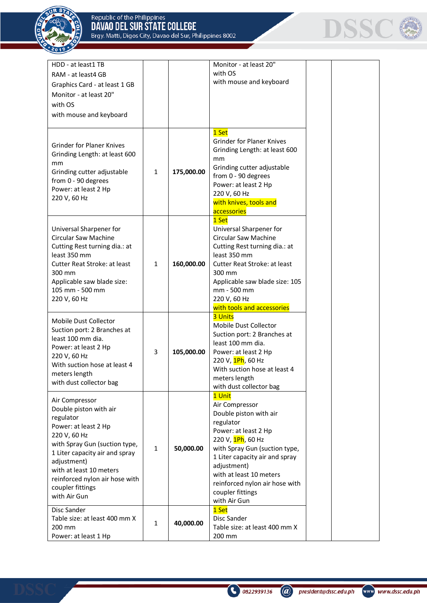$201$ 



| HDD - at least1 TB<br>RAM - at least4 GB<br>Graphics Card - at least 1 GB<br>Monitor - at least 20"<br>with OS<br>with mouse and keyboard                                                                                                                                        |              |            | Monitor - at least 20"<br>with OS<br>with mouse and keyboard                                                                                                                                                                                                                                    |  |
|----------------------------------------------------------------------------------------------------------------------------------------------------------------------------------------------------------------------------------------------------------------------------------|--------------|------------|-------------------------------------------------------------------------------------------------------------------------------------------------------------------------------------------------------------------------------------------------------------------------------------------------|--|
| <b>Grinder for Planer Knives</b><br>Grinding Length: at least 600<br>mm<br>Grinding cutter adjustable<br>from 0 - 90 degrees<br>Power: at least 2 Hp<br>220 V, 60 Hz                                                                                                             | $\mathbf{1}$ | 175,000.00 | 1 Set<br><b>Grinder for Planer Knives</b><br>Grinding Length: at least 600<br>mm<br>Grinding cutter adjustable<br>from 0 - 90 degrees<br>Power: at least 2 Hp<br>220 V, 60 Hz<br>with knives, tools and<br>accessories                                                                          |  |
| Universal Sharpener for<br>Circular Saw Machine<br>Cutting Rest turning dia.: at<br>least 350 mm<br>Cutter Reat Stroke: at least<br>300 mm<br>Applicable saw blade size:<br>105 mm - 500 mm<br>220 V, 60 Hz                                                                      | $\mathbf{1}$ | 160,000.00 | 1 Set<br>Universal Sharpener for<br>Circular Saw Machine<br>Cutting Rest turning dia.: at<br>least 350 mm<br><b>Cutter Reat Stroke: at least</b><br>300 mm<br>Applicable saw blade size: 105<br>mm - 500 mm<br>220 V, 60 Hz<br>with tools and accessories                                       |  |
| Mobile Dust Collector<br>Suction port: 2 Branches at<br>least 100 mm dia.<br>Power: at least 2 Hp<br>220 V, 60 Hz<br>With suction hose at least 4<br>meters length<br>with dust collector bag                                                                                    | 3            | 105,000.00 | <b>3 Units</b><br>Mobile Dust Collector<br>Suction port: 2 Branches at<br>least 100 mm dia.<br>Power: at least 2 Hp<br>220 V, <mark>1Ph</mark> , 60 Hz<br>With suction hose at least 4<br>meters length<br>with dust collector bag                                                              |  |
| Air Compressor<br>Double piston with air<br>regulator<br>Power: at least 2 Hp<br>220 V, 60 Hz<br>with Spray Gun (suction type,<br>1 Liter capacity air and spray<br>adjustment)<br>with at least 10 meters<br>reinforced nylon air hose with<br>coupler fittings<br>with Air Gun | $\mathbf{1}$ | 50,000.00  | 1 Unit<br>Air Compressor<br>Double piston with air<br>regulator<br>Power: at least 2 Hp<br>220 V, 1Ph, 60 Hz<br>with Spray Gun (suction type,<br>1 Liter capacity air and spray<br>adjustment)<br>with at least 10 meters<br>reinforced nylon air hose with<br>coupler fittings<br>with Air Gun |  |
| Disc Sander<br>Table size: at least 400 mm X<br>200 mm<br>Power: at least 1 Hp                                                                                                                                                                                                   | $\mathbf{1}$ | 40,000.00  | 1 Set<br>Disc Sander<br>Table size: at least 400 mm X<br>200 mm                                                                                                                                                                                                                                 |  |